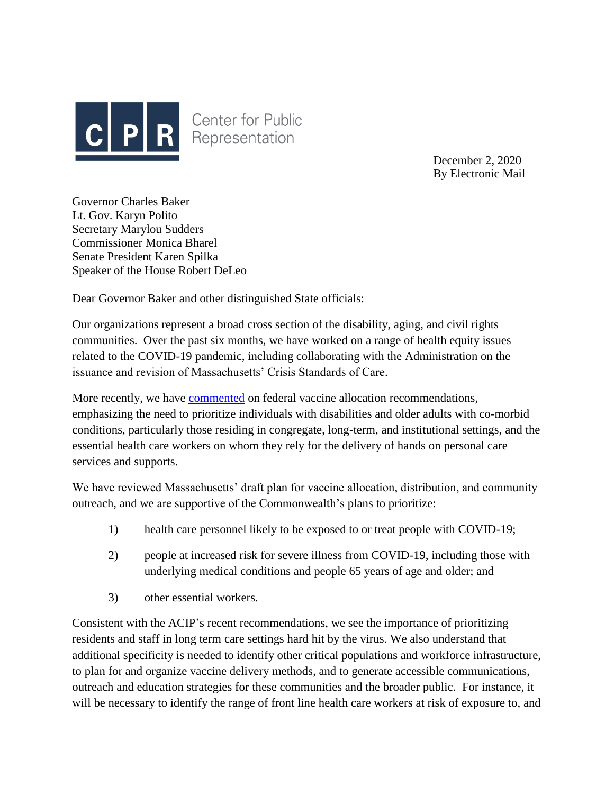

**Center for Public** Representation

> December 2, 2020 By Electronic Mail

Governor Charles Baker Lt. Gov. Karyn Polito Secretary Marylou Sudders Commissioner Monica Bharel Senate President Karen Spilka Speaker of the House Robert DeLeo

Dear Governor Baker and other distinguished State officials:

Our organizations represent a broad cross section of the disability, aging, and civil rights communities. Over the past six months, we have worked on a range of health equity issues related to the COVID-19 pandemic, including collaborating with the Administration on the issuance and revision of Massachusetts' Crisis Standards of Care.

More recently, we have [commented](http://www.c-c-d.org/fichiers/CCD-Vaccine-Allocation-Comments-9-4-20.pdf) on federal vaccine allocation recommendations, emphasizing the need to prioritize individuals with disabilities and older adults with co-morbid conditions, particularly those residing in congregate, long-term, and institutional settings, and the essential health care workers on whom they rely for the delivery of hands on personal care services and supports.

We have reviewed Massachusetts' draft plan for vaccine allocation, distribution, and community outreach, and we are supportive of the Commonwealth's plans to prioritize:

- 1) health care personnel likely to be exposed to or treat people with COVID-19;
- 2) people at increased risk for severe illness from COVID-19, including those with underlying medical conditions and people 65 years of age and older; and
- 3) other essential workers.

Consistent with the ACIP's recent recommendations, we see the importance of prioritizing residents and staff in long term care settings hard hit by the virus. We also understand that additional specificity is needed to identify other critical populations and workforce infrastructure, to plan for and organize vaccine delivery methods, and to generate accessible communications, outreach and education strategies for these communities and the broader public. For instance, it will be necessary to identify the range of front line health care workers at risk of exposure to, and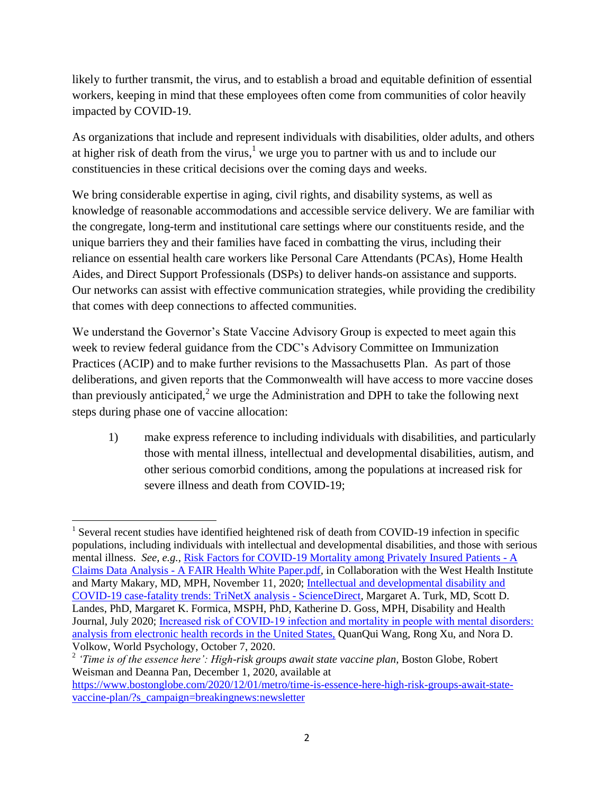likely to further transmit, the virus, and to establish a broad and equitable definition of essential workers, keeping in mind that these employees often come from communities of color heavily impacted by COVID-19.

As organizations that include and represent individuals with disabilities, older adults, and others at higher risk of death from the virus,<sup>1</sup> we urge you to partner with us and to include our constituencies in these critical decisions over the coming days and weeks.

We bring considerable expertise in aging, civil rights, and disability systems, as well as knowledge of reasonable accommodations and accessible service delivery. We are familiar with the congregate, long-term and institutional care settings where our constituents reside, and the unique barriers they and their families have faced in combatting the virus, including their reliance on essential health care workers like Personal Care Attendants (PCAs), Home Health Aides, and Direct Support Professionals (DSPs) to deliver hands-on assistance and supports. Our networks can assist with effective communication strategies, while providing the credibility that comes with deep connections to affected communities.

We understand the Governor's State Vaccine Advisory Group is expected to meet again this week to review federal guidance from the CDC's Advisory Committee on Immunization Practices (ACIP) and to make further revisions to the Massachusetts Plan. As part of those deliberations, and given reports that the Commonwealth will have access to more vaccine doses than previously anticipated,<sup>2</sup> we urge the Administration and DPH to take the following next steps during phase one of vaccine allocation:

1) make express reference to including individuals with disabilities, and particularly those with mental illness, intellectual and developmental disabilities, autism, and other serious comorbid conditions, among the populations at increased risk for severe illness and death from COVID-19;

 $\overline{\phantom{a}}$ <sup>1</sup> Several recent studies have identified heightened risk of death from COVID-19 infection in specific populations, including individuals with intellectual and developmental disabilities, and those with serious mental illness. *See, e.g.,* [Risk Factors for COVID-19 Mortality among Privately Insured Patients -](https://s3.amazonaws.com/media2.fairhealth.org/whitepaper/asset/Risk%20Factors%20for%20COVID-19%20Mortality%20among%20Privately%20Insured%20Patients%20-%20A%20Claims%20Data%20Analysis%20-%20A%20FAIR%20Health%20White%20Paper.pdf) A Claims Data Analysis - [A FAIR Health White Paper.pdf,](https://s3.amazonaws.com/media2.fairhealth.org/whitepaper/asset/Risk%20Factors%20for%20COVID-19%20Mortality%20among%20Privately%20Insured%20Patients%20-%20A%20Claims%20Data%20Analysis%20-%20A%20FAIR%20Health%20White%20Paper.pdf) in Collaboration with the West Health Institute and Marty Makary, MD, MPH, November 11, 2020; [Intellectual and developmental disability and](https://www.sciencedirect.com/science/article/abs/pii/S1936657420300674?via%3Dihub)  [COVID-19 case-fatality trends: TriNetX analysis -](https://www.sciencedirect.com/science/article/abs/pii/S1936657420300674?via%3Dihub) ScienceDirect, Margaret A. Turk, MD, Scott D. Landes, PhD, Margaret K. Formica, MSPH, PhD, Katherine D. Goss, MPH, Disability and Health Journal, July 2020; [Increased risk of COVID‐19 infection and mortality in people with mental disorders:](https://onlinelibrary.wiley.com/doi/10.1002/wps.20806)  [analysis from electronic health records in the United States,](https://onlinelibrary.wiley.com/doi/10.1002/wps.20806) QuanQui Wang, Rong Xu, and Nora D. Volkow, World Psychology, October 7, 2020.

<sup>2</sup> *'Time is of the essence here': High-risk groups await state vaccine plan,* Boston Globe, Robert Weisman and Deanna Pan, December 1, 2020, available at

[https://www.bostonglobe.com/2020/12/01/metro/time-is-essence-here-high-risk-groups-await-state](https://www.bostonglobe.com/2020/12/01/metro/time-is-essence-here-high-risk-groups-await-state-vaccine-plan/?s_campaign=breakingnews:newsletter)[vaccine-plan/?s\\_campaign=breakingnews:newsletter](https://www.bostonglobe.com/2020/12/01/metro/time-is-essence-here-high-risk-groups-await-state-vaccine-plan/?s_campaign=breakingnews:newsletter)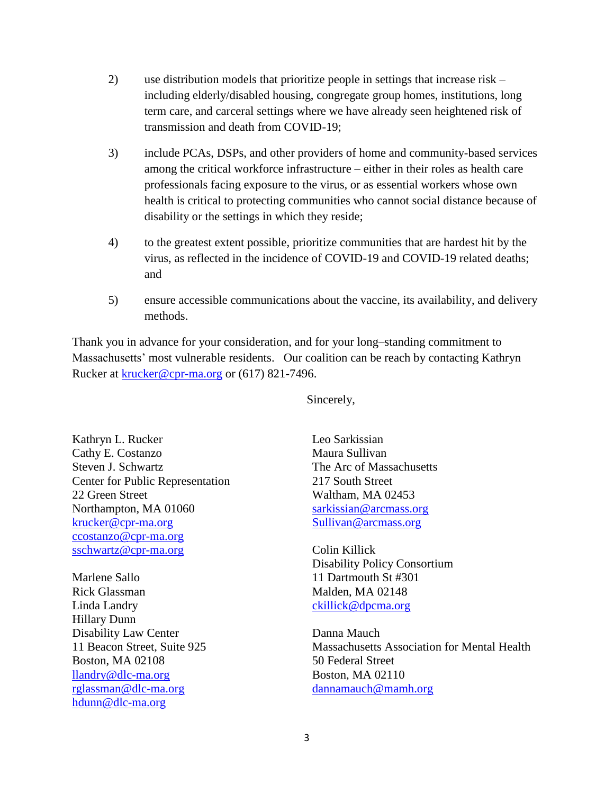- 2) use distribution models that prioritize people in settings that increase risk including elderly/disabled housing, congregate group homes, institutions, long term care, and carceral settings where we have already seen heightened risk of transmission and death from COVID-19;
- 3) include PCAs, DSPs, and other providers of home and community-based services among the critical workforce infrastructure – either in their roles as health care professionals facing exposure to the virus, or as essential workers whose own health is critical to protecting communities who cannot social distance because of disability or the settings in which they reside;
- 4) to the greatest extent possible, prioritize communities that are hardest hit by the virus, as reflected in the incidence of COVID-19 and COVID-19 related deaths; and
- 5) ensure accessible communications about the vaccine, its availability, and delivery methods.

Thank you in advance for your consideration, and for your long–standing commitment to Massachusetts' most vulnerable residents. Our coalition can be reach by contacting Kathryn Rucker at [krucker@cpr-ma.org](mailto:krucker@cpr-ma.org) or (617) 821-7496.

Kathryn L. Rucker Cathy E. Costanzo Steven J. Schwartz Center for Public Representation 22 Green Street Northampton, MA 01060 [krucker@cpr-ma.org](mailto:krucker@cpr-ma.org) [ccostanzo@cpr-ma.org](mailto:ccostanzo@cpr-ma.org) [sschwartz@cpr-ma.org](mailto:sschwartz@cpr-ma.org)

Marlene Sallo Rick Glassman Linda Landry Hillary Dunn Disability Law Center 11 Beacon Street, Suite 925 Boston, MA 02108 [llandry@dlc-ma.org](mailto:llandry@dlc-ma.org) [rglassman@dlc-ma.org](mailto:rglassman@dlc-ma.org) [hdunn@dlc-ma.org](mailto:hdunn@dlc-ma.org)

Sincerely,

Leo Sarkissian Maura Sullivan The Arc of Massachusetts 217 South Street Waltham, MA 02453 [sarkissian@arcmass.org](mailto:sarkissian@arcmass.org) [Sullivan@arcmass.org](mailto:Sullivan@arcmass.org)

Colin Killick Disability Policy Consortium 11 Dartmouth St #301 Malden, MA 02148 [ckillick@dpcma.org](mailto:ckillick@dpcma.org)

Danna Mauch Massachusetts Association for Mental Health 50 Federal Street Boston, MA 02110 [dannamauch@mamh.org](mailto:dannamauch@mamh.org)